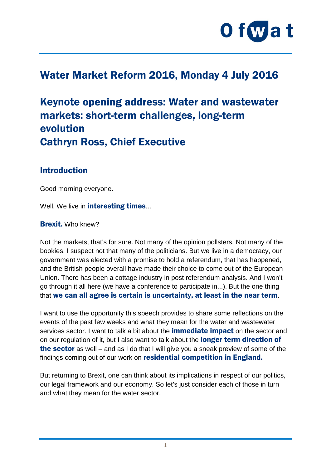

# Water Market Reform 2016, Monday 4 July 2016

# Keynote opening address: Water and wastewater markets: short-term challenges, long-term evolution Cathryn Ross, Chief Executive

#### Introduction

Good morning everyone.

Well. We live in **interesting times...** 

#### Brexit. Who knew?

Not the markets, that's for sure. Not many of the opinion pollsters. Not many of the bookies. I suspect not that many of the politicians. But we live in a democracy, our government was elected with a promise to hold a referendum, that has happened, and the British people overall have made their choice to come out of the European Union. There has been a cottage industry in post referendum analysis. And I won't go through it all here (we have a conference to participate in...). But the one thing that we can all agree is certain is uncertainty, at least in the near term.

I want to use the opportunity this speech provides to share some reflections on the events of the past few weeks and what they mean for the water and wastewater services sector. I want to talk a bit about the **immediate impact** on the sector and on our regulation of it, but I also want to talk about the **longer term direction of** the sector as well – and as I do that I will give you a sneak preview of some of the findings coming out of our work on residential competition in England.

But returning to Brexit, one can think about its implications in respect of our politics, our legal framework and our economy. So let's just consider each of those in turn and what they mean for the water sector.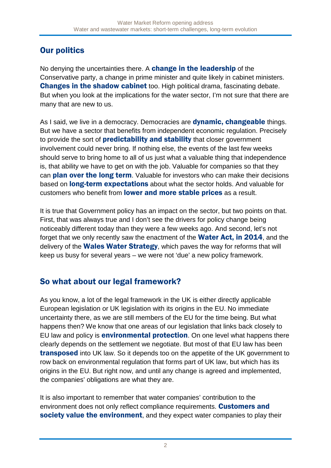# Our politics

No denying the uncertainties there. A **change in the leadership** of the Conservative party, a change in prime minister and quite likely in cabinet ministers. **Changes in the shadow cabinet** too. High political drama, fascinating debate. But when you look at the implications for the water sector, I'm not sure that there are many that are new to us.

As I said, we live in a democracy. Democracies are **dynamic, changeable** things. But we have a sector that benefits from independent economic regulation. Precisely to provide the sort of **predictability and stability** that closer government involvement could never bring. If nothing else, the events of the last few weeks should serve to bring home to all of us just what a valuable thing that independence is, that ability we have to get on with the job. Valuable for companies so that they can **plan over the long term**. Valuable for investors who can make their decisions based on **long-term expectations** about what the sector holds. And valuable for customers who benefit from lower and more stable prices as a result.

It is true that Government policy has an impact on the sector, but two points on that. First, that was always true and I don't see the drivers for policy change being noticeably different today than they were a few weeks ago. And second, let's not forget that we only recently saw the enactment of the Water Act, in 2014, and the delivery of the **Wales Water Strategy**, which paves the way for reforms that will keep us busy for several years – we were not 'due' a new policy framework.

### So what about our legal framework?

As you know, a lot of the legal framework in the UK is either directly applicable European legislation or UK legislation with its origins in the EU. No immediate uncertainty there, as we are still members of the EU for the time being. But what happens then? We know that one areas of our legislation that links back closely to EU law and policy is **environmental protection**. On one level what happens there clearly depends on the settlement we negotiate. But most of that EU law has been **transposed** into UK law. So it depends too on the appetite of the UK government to row back on environmental regulation that forms part of UK law, but which has its origins in the EU. But right now, and until any change is agreed and implemented, the companies' obligations are what they are.

It is also important to remember that water companies' contribution to the environment does not only reflect compliance requirements. Customers and society value the environment, and they expect water companies to play their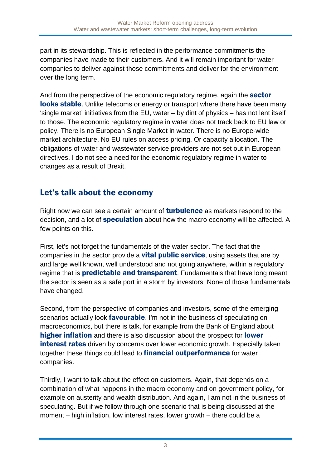part in its stewardship. This is reflected in the performance commitments the companies have made to their customers. And it will remain important for water companies to deliver against those commitments and deliver for the environment over the long term.

And from the perspective of the economic regulatory regime, again the **sector looks stable.** Unlike telecoms or energy or transport where there have been many 'single market' initiatives from the EU, water – by dint of physics – has not lent itself to those. The economic regulatory regime in water does not track back to EU law or policy. There is no European Single Market in water. There is no Europe-wide market architecture. No EU rules on access pricing. Or capacity allocation. The obligations of water and wastewater service providers are not set out in European directives. I do not see a need for the economic regulatory regime in water to changes as a result of Brexit.

## Let's talk about the economy

Right now we can see a certain amount of **turbulence** as markets respond to the decision, and a lot of **speculation** about how the macro economy will be affected. A few points on this.

First, let's not forget the fundamentals of the water sector. The fact that the companies in the sector provide a **vital public service**, using assets that are by and large well known, well understood and not going anywhere, within a regulatory regime that is **predictable and transparent**. Fundamentals that have long meant the sector is seen as a safe port in a storm by investors. None of those fundamentals have changed.

Second, from the perspective of companies and investors, some of the emerging scenarios actually look **favourable**. I'm not in the business of speculating on macroeconomics, but there is talk, for example from the Bank of England about higher inflation and there is also discussion about the prospect for **lower interest rates** driven by concerns over lower economic growth. Especially taken together these things could lead to **financial outperformance** for water companies.

Thirdly, I want to talk about the effect on customers. Again, that depends on a combination of what happens in the macro economy and on government policy, for example on austerity and wealth distribution. And again, I am not in the business of speculating. But if we follow through one scenario that is being discussed at the moment – high inflation, low interest rates, lower growth – there could be a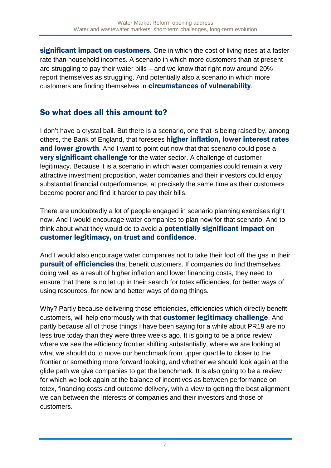significant impact on customers. One in which the cost of living rises at a faster rate than household incomes. A scenario in which more customers than at present are struggling to pay their water bills – and we know that right now around 20% report themselves as struggling. And potentially also a scenario in which more customers are finding themselves in **circumstances of vulnerability**.

## So what does all this amount to?

I don't have a crystal ball. But there is a scenario, one that is being raised by, among others, the Bank of England, that foresees **higher inflation, lower interest rates** and lower growth. And I want to point out now that that scenario could pose a **very significant challenge** for the water sector. A challenge of customer legitimacy. Because it is a scenario in which water companies could remain a very attractive investment proposition, water companies and their investors could enjoy substantial financial outperformance, at precisely the same time as their customers become poorer and find it harder to pay their bills.

There are undoubtedly a lot of people engaged in scenario planning exercises right now. And I would encourage water companies to plan now for that scenario. And to think about what they would do to avoid a **potentially significant impact on** customer legitimacy, on trust and confidence.

And I would also encourage water companies not to take their foot off the gas in their **pursuit of efficiencies** that benefit customers. If companies do find themselves doing well as a result of higher inflation and lower financing costs, they need to ensure that there is no let up in their search for totex efficiencies, for better ways of using resources, for new and better ways of doing things.

Why? Partly because delivering those efficiencies, efficiencies which directly benefit customers, will help enormously with that **customer legitimacy challenge**. And partly because all of those things I have been saying for a while about PR19 are no less true today than they were three weeks ago. It is going to be a price review where we see the efficiency frontier shifting substantially, where we are looking at what we should do to move our benchmark from upper quartile to closer to the frontier or something more forward looking, and whether we should look again at the glide path we give companies to get the benchmark. It is also going to be a review for which we look again at the balance of incentives as between performance on totex, financing costs and outcome delivery, with a view to getting the best alignment we can between the interests of companies and their investors and those of customers.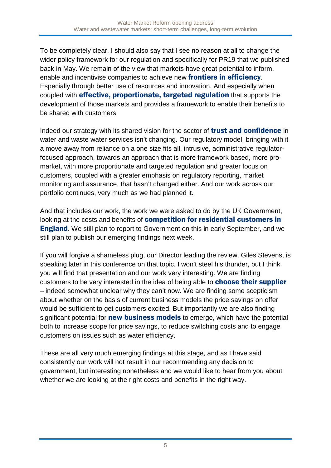To be completely clear, I should also say that I see no reason at all to change the wider policy framework for our regulation and specifically for PR19 that we published back in May. We remain of the view that markets have great potential to inform, enable and incentivise companies to achieve new **frontiers in efficiency**. Especially through better use of resources and innovation. And especially when coupled with effective, proportionate, targeted regulation that supports the development of those markets and provides a framework to enable their benefits to be shared with customers.

Indeed our strategy with its shared vision for the sector of trust and confidence in water and waste water services isn't changing. Our regulatory model, bringing with it a move away from reliance on a one size fits all, intrusive, administrative regulatorfocused approach, towards an approach that is more framework based, more promarket, with more proportionate and targeted regulation and greater focus on customers, coupled with a greater emphasis on regulatory reporting, market monitoring and assurance, that hasn't changed either. And our work across our portfolio continues, very much as we had planned it.

And that includes our work, the work we were asked to do by the UK Government, looking at the costs and benefits of competition for residential customers in **England.** We still plan to report to Government on this in early September, and we still plan to publish our emerging findings next week.

If you will forgive a shameless plug, our Director leading the review, Giles Stevens, is speaking later in this conference on that topic. I won't steel his thunder, but I think you will find that presentation and our work very interesting. We are finding customers to be very interested in the idea of being able to **choose their supplier** – indeed somewhat unclear why they can't now. We are finding some scepticism about whether on the basis of current business models the price savings on offer would be sufficient to get customers excited. But importantly we are also finding significant potential for **new business models** to emerge, which have the potential both to increase scope for price savings, to reduce switching costs and to engage customers on issues such as water efficiency.

These are all very much emerging findings at this stage, and as I have said consistently our work will not result in our recommending any decision to government, but interesting nonetheless and we would like to hear from you about whether we are looking at the right costs and benefits in the right way.

5